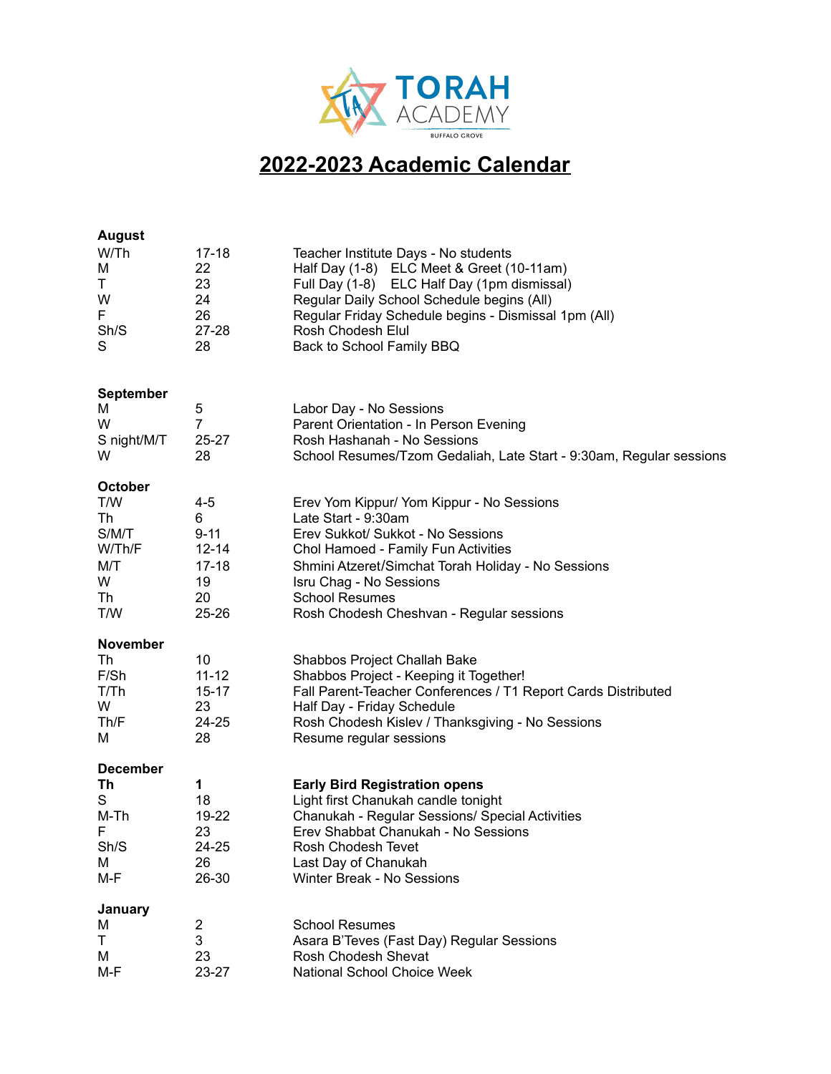

## **2022-2023 Academic Calendar**

| <b>August</b>    |                         |                                                                     |
|------------------|-------------------------|---------------------------------------------------------------------|
| W/Th             | $17 - 18$               | Teacher Institute Days - No students                                |
| M                | 22                      | Half Day (1-8) ELC Meet & Greet (10-11am)                           |
| Τ                | 23                      | Full Day (1-8) ELC Half Day (1pm dismissal)                         |
| W                | 24                      | Regular Daily School Schedule begins (All)                          |
| F.               | 26                      | Regular Friday Schedule begins - Dismissal 1pm (All)                |
| Sh/S             | 27-28                   | Rosh Chodesh Elul                                                   |
| S                | 28                      | Back to School Family BBQ                                           |
|                  |                         |                                                                     |
| <b>September</b> |                         |                                                                     |
| M                | 5                       | Labor Day - No Sessions                                             |
| W                | 7                       | Parent Orientation - In Person Evening                              |
| S night/M/T      | $25 - 27$               | Rosh Hashanah - No Sessions                                         |
| W                | 28                      | School Resumes/Tzom Gedaliah, Late Start - 9:30am, Regular sessions |
|                  |                         |                                                                     |
| October          |                         |                                                                     |
| T/W              | $4 - 5$                 | Erev Yom Kippur/ Yom Kippur - No Sessions                           |
| Th               | 6                       | Late Start - 9:30am                                                 |
| S/M/T            | $9 - 11$                | Erev Sukkot/ Sukkot - No Sessions                                   |
| W/Th/F           | $12 - 14$               | Chol Hamoed - Family Fun Activities                                 |
| M/T              | $17 - 18$               | Shmini Atzeret/Simchat Torah Holiday - No Sessions                  |
| W                | 19                      | Isru Chag - No Sessions                                             |
| Th               | 20                      | <b>School Resumes</b>                                               |
| T/W              | 25-26                   | Rosh Chodesh Cheshvan - Regular sessions                            |
| <b>November</b>  |                         |                                                                     |
| Th               | 10                      | Shabbos Project Challah Bake                                        |
| F/Sh             | $11 - 12$               | Shabbos Project - Keeping it Together!                              |
| T/Th             | $15 - 17$               | Fall Parent-Teacher Conferences / T1 Report Cards Distributed       |
| W                | 23                      | Half Day - Friday Schedule                                          |
| Th/F             | 24-25                   | Rosh Chodesh Kislev / Thanksgiving - No Sessions                    |
| м                | 28                      | Resume regular sessions                                             |
|                  |                         |                                                                     |
| <b>December</b>  |                         |                                                                     |
| Th               | 1                       | <b>Early Bird Registration opens</b>                                |
| S                | 18                      | Light first Chanukah candle tonight                                 |
| M-Th             | 19-22                   | Chanukah - Regular Sessions/ Special Activities                     |
| F                | 23<br>24-25             | Erev Shabbat Chanukah - No Sessions                                 |
| Sh/S<br>M        | 26                      | Rosh Chodesh Tevet                                                  |
| M-F              | 26-30                   | Last Day of Chanukah<br>Winter Break - No Sessions                  |
|                  |                         |                                                                     |
| January          |                         |                                                                     |
| M                | $\overline{\mathbf{c}}$ | <b>School Resumes</b>                                               |
| T                | 3                       | Asara B'Teves (Fast Day) Regular Sessions                           |
| м                | 23                      | Rosh Chodesh Shevat                                                 |
| M-F              | $23 - 27$               | National School Choice Week                                         |